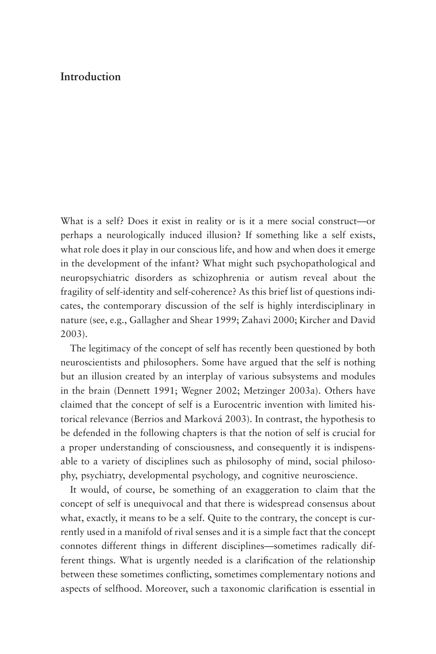# **Introduction**

What is a self? Does it exist in reality or is it a mere social construct—or perhaps a neurologically induced illusion? If something like a self exists, what role does it play in our conscious life, and how and when does it emerge in the development of the infant? What might such psychopathological and neuropsychiatric disorders as schizophrenia or autism reveal about the [fragility of self-identity and self-coherence? As this brief list of questions indi](#page--1-0)cates, the contemporary discussion of the self is highly interdisciplinary in nature (see, e.g., Gallagher and Shear 1999; Zahavi 2000; Kircher and David 2003).

The legitimacy of the concept of self has recently been questioned by both neuroscientists and philosophers. Some have argued that the self is nothing but an illusion created by an interplay of various subsystems and modules in the brain (Dennett 1991; Wegner 2002; Metzinger 2003a). Others have claimed that the concept of self is a Eurocentric invention with limited historical relevance (Berrios and Marková 2003). In contrast, the hypothesis to be defended in the following chapters is that the notion of self is crucial for a proper understanding of consciousness, and consequently it is indispensable to a variety of disciplines such as philosophy of mind, social philosophy, psychiatry, developmental psychology, and cognitive neuroscience.

It would, of course, be something of an exaggeration to claim that the concept of self is unequivocal and that there is widespread consensus about what, exactly, it means to be a self. Quite to the contrary, the concept is currently used in a manifold of rival senses and it is a simple fact that the concept connotes different things in different disciplines—sometimes radically different things. What is urgently needed is a clarification of the relationship between these sometimes conflicting, sometimes complementary notions and aspects of selfhood. Moreover, such a taxonomic clarification is essential in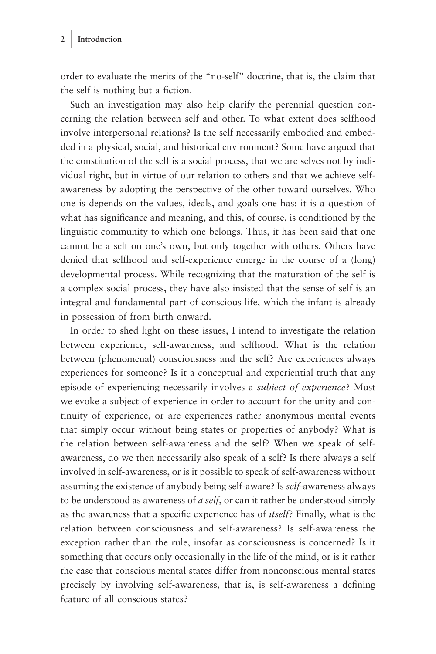order to evaluate the merits of the "no-self" doctrine, that is, the claim that the self is nothing but a fiction.

Such an investigation may also help clarify the perennial question concerning the relation between self and other. To what extent does selfhood involve interpersonal relations? Is the self necessarily embodied and embedded in a physical, social, and historical environment? Some have argued that the constitution of the self is a social process, that we are selves not by individual right, but in virtue of our relation to others and that we achieve selfawareness by adopting the perspective of the other toward ourselves. Who one is depends on the values, ideals, and goals one has: it is a question of what has significance and meaning, and this, of course, is conditioned by the linguistic community to which one belongs. Thus, it has been said that one cannot be a self on one's own, but only together with others. Others have denied that selfhood and self-experience emerge in the course of a (long) developmental process. While recognizing that the maturation of the self is a complex social process, they have also insisted that the sense of self is an integral and fundamental part of conscious life, which the infant is already in possession of from birth onward.

In order to shed light on these issues, I intend to investigate the relation between experience, self-awareness, and selfhood. What is the relation between (phenomenal) consciousness and the self? Are experiences always experiences for someone? Is it a conceptual and experiential truth that any episode of experiencing necessarily involves a *subject of experience*? Must we evoke a subject of experience in order to account for the unity and continuity of experience, or are experiences rather anonymous mental events that simply occur without being states or properties of anybody? What is the relation between self-awareness and the self? When we speak of selfawareness, do we then necessarily also speak of a self? Is there always a self involved in self-awareness, or is it possible to speak of self-awareness without assuming the existence of anybody being self-aware? Is *self*-awareness always to be understood as awareness of *a self*, or can it rather be understood simply as the awareness that a specific experience has of *itself*? Finally, what is the relation between consciousness and self-awareness? Is self-awareness the exception rather than the rule, insofar as consciousness is concerned? Is it something that occurs only occasionally in the life of the mind, or is it rather the case that conscious mental states differ from nonconscious mental states precisely by involving self-awareness, that is, is self-awareness a defining feature of all conscious states?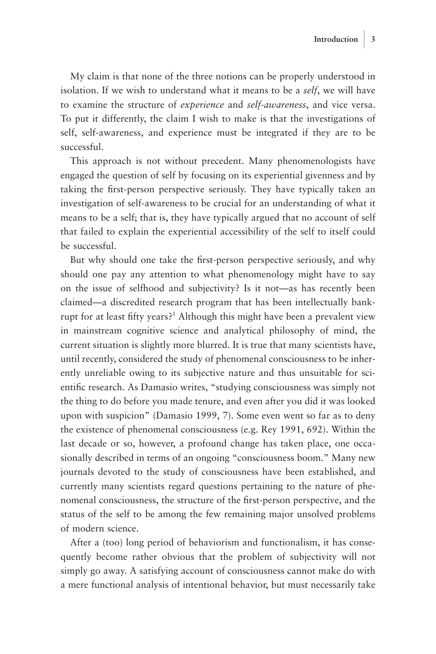My claim is that none of the three notions can be properly understood in isolation. If we wish to understand what it means to be a *self*, we will have to examine the structure of *experience* and *self*-*awareness*, and vice versa. To put it differently, the claim I wish to make is that the investigations of self, self-awareness, and experience must be integrated if they are to be successful.

This approach is not without precedent. Many phenomenologists have engaged the question of self by focusing on its experiential givenness and by taking the first-person perspective seriously. They have typically taken an investigation of self-awareness to be crucial for an understanding of what it means to be a self; that is, they have typically argued that no account of self that failed to explain the experiential accessibility of the self to itself could be successful.

But why should one take the first-person perspective seriously, and why should one pay any attention to what phenomenology might have to say on the issue of selfhood and subjectivity? Is it not—as has recently been claimed—a discredited research program that has been intellectually bankrupt for at least fifty years?<sup>1</sup> Although this might have been a prevalent view in mainstream cognitive science and analytical philosophy of mind, the current situation is slightly more blurred. It is true that many scientists have, until recently, considered the study of phenomenal consciousness to be inherently unreliable owing to its subjective nature and thus unsuitable for scientific research. As Damasio writes, "studying consciousness was simply not the thing to do before you made tenure, and even after you did it was looked upon with suspicion" (Damasio 1999, 7). Some even went so far as to deny the existence of phenomenal consciousness (e.g. Rey 1991, 692). Within the last decade or so, however, a profound change has taken place, one occasionally described in terms of an ongoing "consciousness boom." Many new journals devoted to the study of consciousness have been established, and currently many scientists regard questions pertaining to the nature of phenomenal consciousness, the structure of the first-person perspective, and the status of the self to be among the few remaining major unsolved problems of modern science.

After a (too) long period of behaviorism and functionalism, it has consequently become rather obvious that the problem of subjectivity will not simply go away. A satisfying account of consciousness cannot make do with a mere functional analysis of intentional behavior, but must necessarily take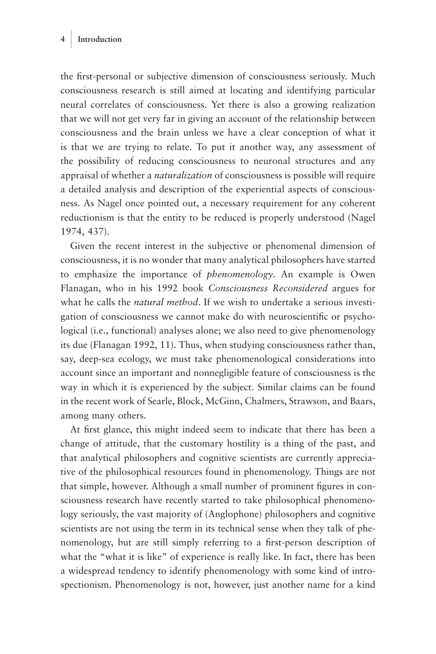the first-personal or subjective dimension of consciousness seriously. Much consciousness research is still aimed at locating and identifying particular neural correlates of consciousness. Yet there is also a growing realization that we will not get very far in giving an account of the relationship between consciousness and the brain unless we have a clear conception of what it is that we are trying to relate. To put it another way, any assessment of the possibility of reducing consciousness to neuronal structures and any appraisal of whether a *naturalization* of consciousness is possible will require a detailed analysis and description of the experiential aspects of consciousness. As Nagel once pointed out, a necessary requirement for any coherent reductionism is that the entity to be reduced is properly understood (Nagel 1974, 437).

Given the recent interest in the subjective or phenomenal dimension of consciousness, it is no wonder that many analytical philosophers have started to emphasize the importance of *phenomenology*. An example is Owen Flanagan, who in his 1992 book *Consciousness Reconsidered* argues for what he calls the *natural method*. If we wish to undertake a serious investigation of consciousness we cannot make do with neuroscientific or psychological (i.e., functional) analyses alone; we also need to give phenomenology its due (Flanagan 1992, 11). Thus, when studying consciousness rather than, say, deep-sea ecology, we must take phenomenological considerations into account since an important and nonnegligible feature of consciousness is the way in which it is experienced by the subject. Similar claims can be found in the recent work of Searle, Block, McGinn, Chalmers, Strawson, and Baars, among many others.

At first glance, this might indeed seem to indicate that there has been a change of attitude, that the customary hostility is a thing of the past, and that analytical philosophers and cognitive scientists are currently appreciative of the philosophical resources found in phenomenology. Things are not that simple, however. Although a small number of prominent figures in consciousness research have recently started to take philosophical phenomenology seriously, the vast majority of (Anglophone) philosophers and cognitive scientists are not using the term in its technical sense when they talk of phenomenology, but are still simply referring to a first-person description of what the "what it is like" of experience is really like. In fact, there has been a widespread tendency to identify phenomenology with some kind of introspectionism. Phenomenology is not, however, just another name for a kind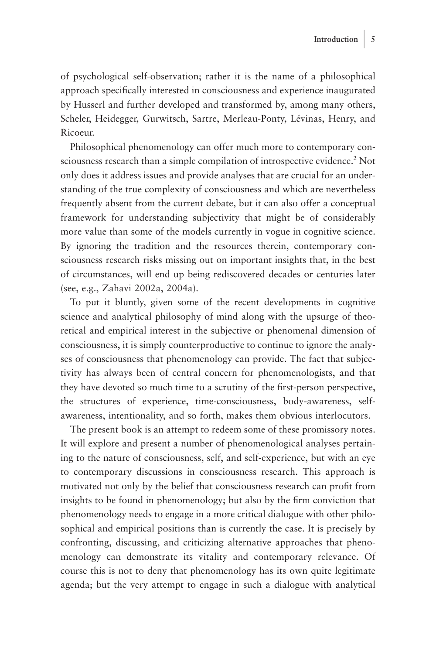of psychological self-observation; rather it is the name of a philosophical approach specifically interested in consciousness and experience inaugurated by Husserl and further developed and transformed by, among many others, Scheler, Heidegger, Gurwitsch, Sartre, Merleau-Ponty, Lévinas, Henry, and Ricoeur.

Philosophical phenomenology can offer much more to contemporary consciousness research than a simple compilation of introspective evidence.<sup>2</sup> Not only does it address issues and provide analyses that are crucial for an understanding of the true complexity of consciousness and which are nevertheless frequently absent from the current debate, but it can also offer a conceptual framework for understanding subjectivity that might be of considerably more value than some of the models currently in vogue in cognitive science. By ignoring the tradition and the resources therein, contemporary consciousness research risks missing out on important insights that, in the best of circumstances, will end up being rediscovered decades or centuries later (see, e.g., Zahavi 2002a, 2004a).

To put it bluntly, given some of the recent developments in cognitive science and analytical philosophy of mind along with the upsurge of theoretical and empirical interest in the subjective or phenomenal dimension of consciousness, it is simply counterproductive to continue to ignore the analyses of consciousness that phenomenology can provide. The fact that subjectivity has always been of central concern for phenomenologists, and that they have devoted so much time to a scrutiny of the first-person perspective, the structures of experience, time-consciousness, body-awareness, selfawareness, intentionality, and so forth, makes them obvious interlocutors.

The present book is an attempt to redeem some of these promissory notes. It will explore and present a number of phenomenological analyses pertaining to the nature of consciousness, self, and self-experience, but with an eye to contemporary discussions in consciousness research. This approach is motivated not only by the belief that consciousness research can profit from insights to be found in phenomenology; but also by the firm conviction that phenomenology needs to engage in a more critical dialogue with other philosophical and empirical positions than is currently the case. It is precisely by confronting, discussing, and criticizing alternative approaches that phenomenology can demonstrate its vitality and contemporary relevance. Of course this is not to deny that phenomenology has its own quite legitimate agenda; but the very attempt to engage in such a dialogue with analytical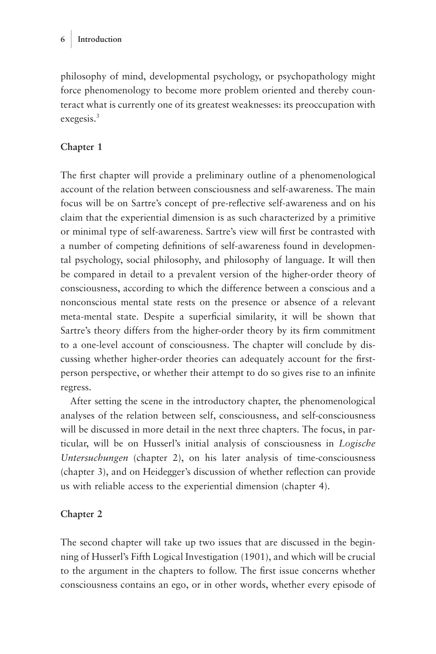philosophy of mind, developmental psychology, or psychopathology might force phenomenology to become more problem oriented and thereby counteract what is currently one of its greatest weaknesses: its preoccupation with exegesis.<sup>3</sup>

## **Chapter 1**

The first chapter will provide a preliminary outline of a phenomenological account of the relation between consciousness and self-awareness. The main focus will be on Sartre's concept of pre-reflective self-awareness and on his claim that the experiential dimension is as such characterized by a primitive or minimal type of self-awareness. Sartre's view will first be contrasted with a number of competing definitions of self-awareness found in developmental psychology, social philosophy, and philosophy of language. It will then be compared in detail to a prevalent version of the higher-order theory of consciousness, according to which the difference between a conscious and a nonconscious mental state rests on the presence or absence of a relevant meta-mental state. Despite a superficial similarity, it will be shown that Sartre's theory differs from the higher-order theory by its firm commitment to a one-level account of consciousness. The chapter will conclude by discussing whether higher-order theories can adequately account for the firstperson perspective, or whether their attempt to do so gives rise to an infinite regress.

After setting the scene in the introductory chapter, the phenomenological analyses of the relation between self, consciousness, and self-consciousness will be discussed in more detail in the next three chapters. The focus, in particular, will be on Husserl's initial analysis of consciousness in *Logische Untersuchungen* (chapter 2), on his later analysis of time-consciousness (chapter 3), and on Heidegger's discussion of whether reflection can provide us with reliable access to the experiential dimension (chapter 4).

### **Chapter 2**

The second chapter will take up two issues that are discussed in the beginning of Husserl's Fifth Logical Investigation (1901), and which will be crucial to the argument in the chapters to follow. The first issue concerns whether consciousness contains an ego, or in other words, whether every episode of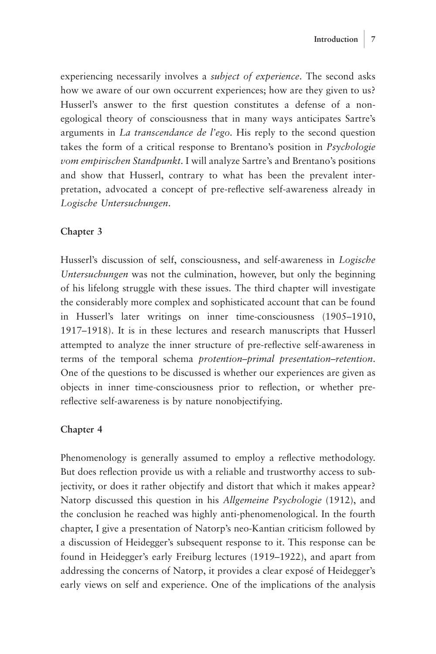experiencing necessarily involves a *subject of experience*. The second asks how we aware of our own occurrent experiences; how are they given to us? Husserl's answer to the first question constitutes a defense of a nonegological theory of consciousness that in many ways anticipates Sartre's arguments in *La transcendance de l'ego.* His reply to the second question takes the form of a critical response to Brentano's position in *Psychologie vom empirischen Standpunkt.* I will analyze Sartre's and Brentano's positions and show that Husserl, contrary to what has been the prevalent interpretation, advocated a concept of pre-reflective self-awareness already in *Logische Untersuchungen*.

### **Chapter 3**

Husserl's discussion of self, consciousness, and self-awareness in *Logische Untersuchungen* was not the culmination, however, but only the beginning of his lifelong struggle with these issues. The third chapter will investigate the considerably more complex and sophisticated account that can be found in Husserl's later writings on inner time-consciousness (1905–1910, 1917–1918). It is in these lectures and research manuscripts that Husserl attempted to analyze the inner structure of pre-reflective self-awareness in terms of the temporal schema *protention–primal presentation–retention*. One of the questions to be discussed is whether our experiences are given as objects in inner time-consciousness prior to reflection, or whether prereflective self-awareness is by nature nonobjectifying.

### **Chapter 4**

Phenomenology is generally assumed to employ a reflective methodology. But does reflection provide us with a reliable and trustworthy access to subjectivity, or does it rather objectify and distort that which it makes appear? Natorp discussed this question in his *Allgemeine Psychologie* (1912), and the conclusion he reached was highly anti-phenomenological. In the fourth chapter, I give a presentation of Natorp's neo-Kantian criticism followed by a discussion of Heidegger's subsequent response to it. This response can be found in Heidegger's early Freiburg lectures (1919–1922), and apart from addressing the concerns of Natorp, it provides a clear exposé of Heidegger's early views on self and experience. One of the implications of the analysis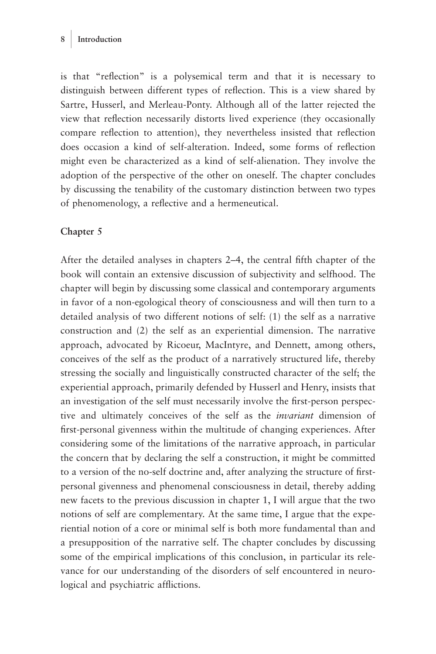is that "reflection" is a polysemical term and that it is necessary to distinguish between different types of reflection. This is a view shared by Sartre, Husserl, and Merleau-Ponty. Although all of the latter rejected the view that reflection necessarily distorts lived experience (they occasionally compare reflection to attention), they nevertheless insisted that reflection does occasion a kind of self-alteration. Indeed, some forms of reflection might even be characterized as a kind of self-alienation. They involve the adoption of the perspective of the other on oneself. The chapter concludes by discussing the tenability of the customary distinction between two types of phenomenology, a reflective and a hermeneutical.

## **Chapter 5**

After the detailed analyses in chapters 2–4, the central fifth chapter of the book will contain an extensive discussion of subjectivity and selfhood. The chapter will begin by discussing some classical and contemporary arguments in favor of a non-egological theory of consciousness and will then turn to a detailed analysis of two different notions of self: (1) the self as a narrative construction and (2) the self as an experiential dimension. The narrative approach, advocated by Ricoeur, MacIntyre, and Dennett, among others, conceives of the self as the product of a narratively structured life, thereby stressing the socially and linguistically constructed character of the self; the experiential approach, primarily defended by Husserl and Henry, insists that an investigation of the self must necessarily involve the first-person perspective and ultimately conceives of the self as the *invariant* dimension of first-personal givenness within the multitude of changing experiences. After considering some of the limitations of the narrative approach, in particular the concern that by declaring the self a construction, it might be committed to a version of the no-self doctrine and, after analyzing the structure of firstpersonal givenness and phenomenal consciousness in detail, thereby adding new facets to the previous discussion in chapter 1, I will argue that the two notions of self are complementary. At the same time, I argue that the experiential notion of a core or minimal self is both more fundamental than and a presupposition of the narrative self. The chapter concludes by discussing some of the empirical implications of this conclusion, in particular its relevance for our understanding of the disorders of self encountered in neurological and psychiatric afflictions.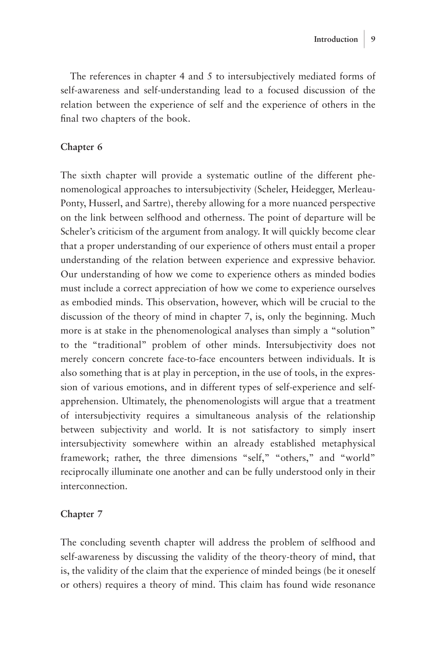The references in chapter 4 and 5 to intersubjectively mediated forms of self-awareness and self-understanding lead to a focused discussion of the relation between the experience of self and the experience of others in the final two chapters of the book.

#### **Chapter 6**

The sixth chapter will provide a systematic outline of the different phenomenological approaches to intersubjectivity (Scheler, Heidegger, Merleau-Ponty, Husserl, and Sartre), thereby allowing for a more nuanced perspective on the link between selfhood and otherness. The point of departure will be Scheler's criticism of the argument from analogy. It will quickly become clear that a proper understanding of our experience of others must entail a proper understanding of the relation between experience and expressive behavior. Our understanding of how we come to experience others as minded bodies must include a correct appreciation of how we come to experience ourselves as embodied minds. This observation, however, which will be crucial to the discussion of the theory of mind in chapter 7, is, only the beginning. Much more is at stake in the phenomenological analyses than simply a "solution" to the "traditional" problem of other minds. Intersubjectivity does not merely concern concrete face-to-face encounters between individuals. It is also something that is at play in perception, in the use of tools, in the expression of various emotions, and in different types of self-experience and selfapprehension. Ultimately, the phenomenologists will argue that a treatment of intersubjectivity requires a simultaneous analysis of the relationship between subjectivity and world. It is not satisfactory to simply insert intersubjectivity somewhere within an already established metaphysical framework; rather, the three dimensions "self," "others," and "world" reciprocally illuminate one another and can be fully understood only in their interconnection.

#### **Chapter 7**

The concluding seventh chapter will address the problem of selfhood and self-awareness by discussing the validity of the theory-theory of mind, that is, the validity of the claim that the experience of minded beings (be it oneself or others) requires a theory of mind. This claim has found wide resonance